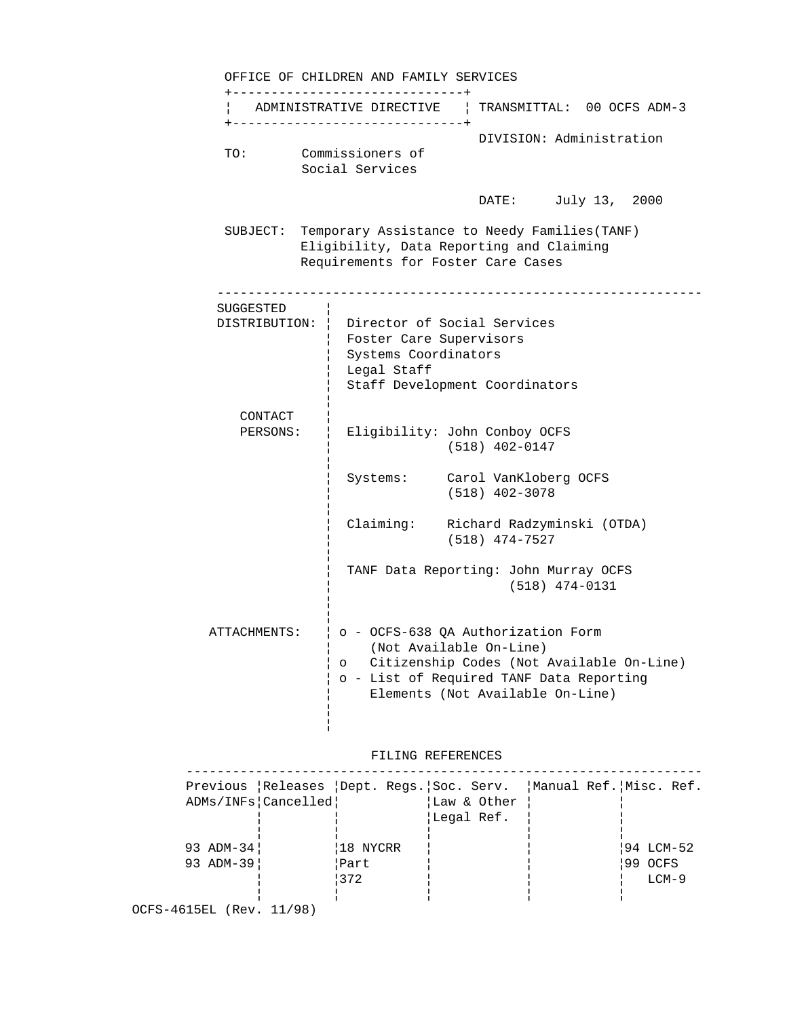OFFICE OF CHILDREN AND FAMILY SERVICES +------------------------------+ ¦ ADMINISTRATIVE DIRECTIVE ¦ TRANSMITTAL: 00 OCFS ADM-3 +------------------------------+ DIVISION: Administration TO: Commissioners of Social Services DATE: July 13, 2000 SUBJECT: Temporary Assistance to Needy Families(TANF) Eligibility, Data Reporting and Claiming Requirements for Foster Care Cases --------------------------------------------------------------- SUGGESTED ¦ DISTRIBUTION: ¦ Director of Social Services ¦ Foster Care Supervisors ¦ Systems Coordinators ¦ Legal Staff ¦ Staff Development Coordinators in the control of the control of the control of the control of the control of the control of the control of the CONTACT ¦ PERSONS: ¦ Eligibility: John Conboy OCFS ¦ (518) 402-0147 in the control of the control of the control of the control of the control of the control of the control of the ¦ Systems: Carol VanKloberg OCFS ¦ (518) 402-3078 in the control of the control of the control of the control of the control of the control of the control of the ¦ Claiming: Richard Radzyminski (OTDA) ¦ (518) 474-7527 ¦ ¦ TANF Data Reporting: John Murray OCFS ¦ (518) 474-0131 ¦ in the control of the control of the control of the control of the control of the control of the control of the ATTACHMENTS: ¦ o - OCFS-638 QA Authorization Form ¦ (Not Available On-Line) ¦ o Citizenship Codes (Not Available On-Line) ¦ o - List of Required TANF Data Reporting ¦ Elements (Not Available On-Line) ¦ ¦

# FILING REFERENCES

| Previous Releases Dept. Reqs. Soc. Serv. Manual Ref. Misc. Ref. |          |             |           |
|-----------------------------------------------------------------|----------|-------------|-----------|
| ADMs/INFs Cancelled                                             |          | Law & Other |           |
|                                                                 |          | Legal Ref.  |           |
|                                                                 |          |             |           |
| 93 ADM-34                                                       | 18 NYCRR |             | 94 LCM-52 |
| 93 ADM-39                                                       | Part     |             | 99 OCFS   |
|                                                                 | $ 372$   |             | $LCM-9$   |
|                                                                 |          |             |           |
| OCFS-4615EL (Rev. 11/98)                                        |          |             |           |
|                                                                 |          |             |           |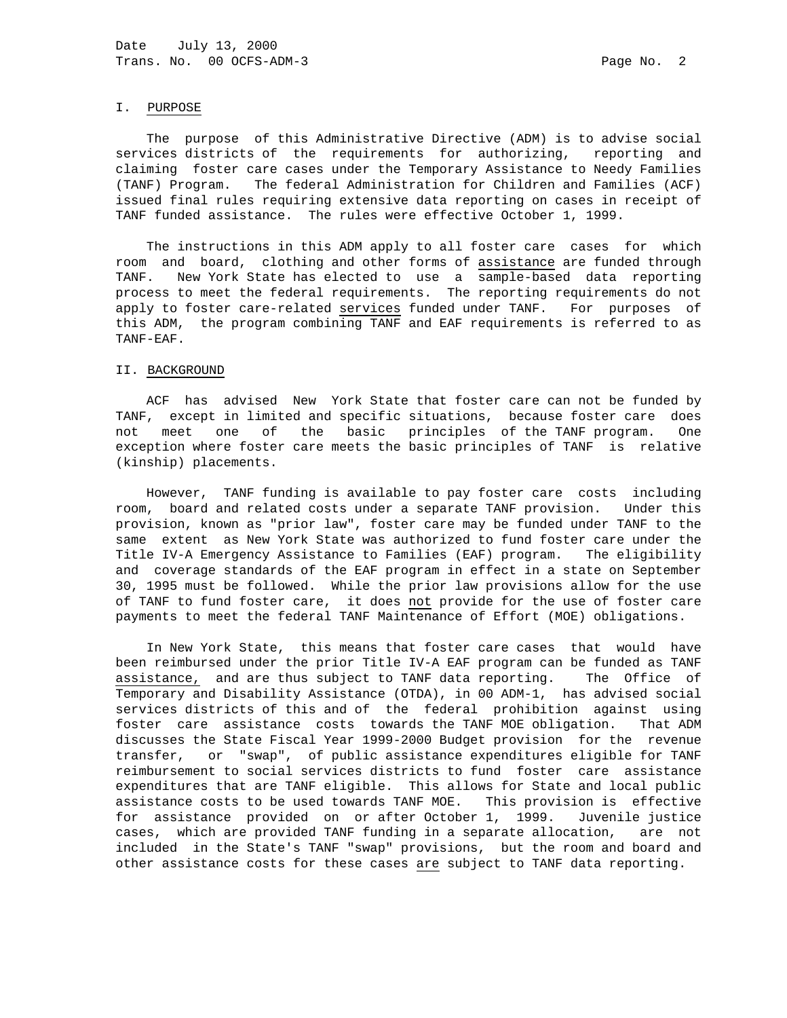# I. PURPOSE

 The purpose of this Administrative Directive (ADM) is to advise social services districts of the requirements for authorizing, reporting and claiming foster care cases under the Temporary Assistance to Needy Families (TANF) Program. The federal Administration for Children and Families (ACF) issued final rules requiring extensive data reporting on cases in receipt of TANF funded assistance. The rules were effective October 1, 1999.

 The instructions in this ADM apply to all foster care cases for which room and board, clothing and other forms of assistance are funded through TANF. New York State has elected to use a sample-based data reporting process to meet the federal requirements. The reporting requirements do not apply to foster care-related services funded under TANF. For purposes of this ADM, the program combining TANF and EAF requirements is referred to as TANF-EAF.

## II. BACKGROUND

 ACF has advised New York State that foster care can not be funded by TANF, except in limited and specific situations, because foster care does not meet one of the basic principles of the TANF program. One exception where foster care meets the basic principles of TANF is relative (kinship) placements.

 However, TANF funding is available to pay foster care costs including room, board and related costs under a separate TANF provision. Under this provision, known as "prior law", foster care may be funded under TANF to the same extent as New York State was authorized to fund foster care under the Title IV-A Emergency Assistance to Families (EAF) program. The eligibility and coverage standards of the EAF program in effect in a state on September 30, 1995 must be followed. While the prior law provisions allow for the use of TANF to fund foster care, it does not provide for the use of foster care payments to meet the federal TANF Maintenance of Effort (MOE) obligations.

 In New York State, this means that foster care cases that would have been reimbursed under the prior Title IV-A EAF program can be funded as TANF assistance, and are thus subject to TANF data reporting. The Office of Temporary and Disability Assistance (OTDA), in 00 ADM-1, has advised social services districts of this and of the federal prohibition against using foster care assistance costs towards the TANF MOE obligation. That ADM discusses the State Fiscal Year 1999-2000 Budget provision for the revenue transfer, or "swap", of public assistance expenditures eligible for TANF reimbursement to social services districts to fund foster care assistance expenditures that are TANF eligible. This allows for State and local public assistance costs to be used towards TANF MOE. This provision is effective for assistance provided on or after October 1, 1999. Juvenile justice cases, which are provided TANF funding in a separate allocation, are not included in the State's TANF "swap" provisions, but the room and board and other assistance costs for these cases are subject to TANF data reporting.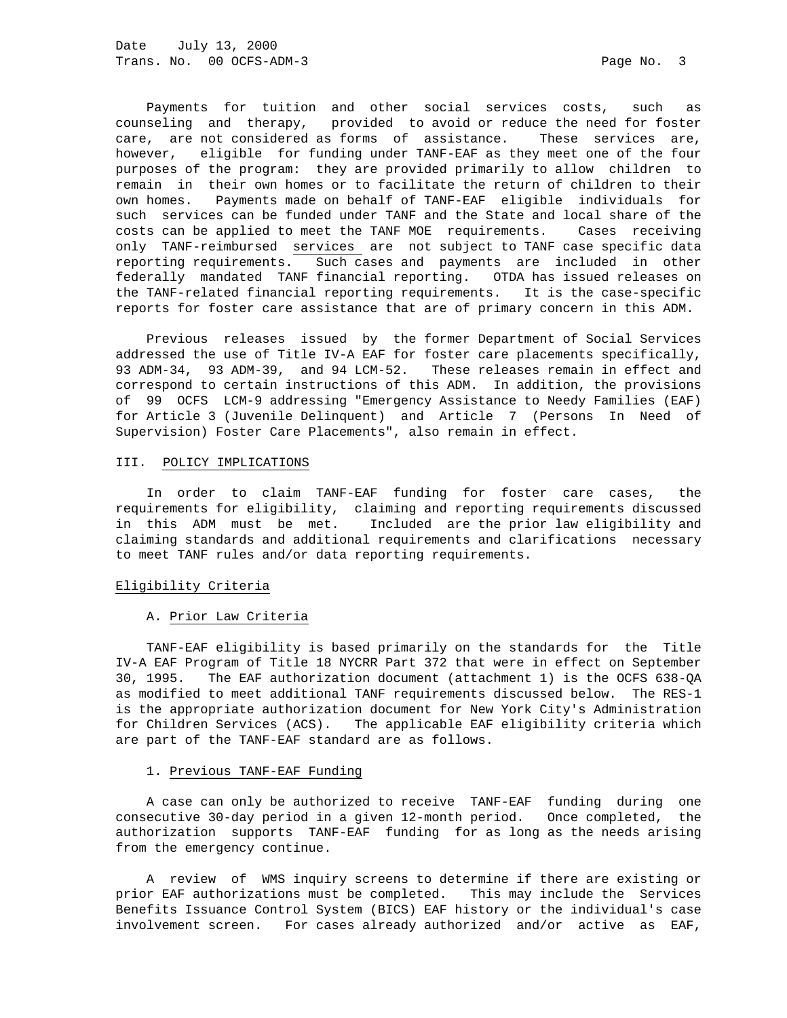Payments for tuition and other social services costs, such as counseling and therapy, provided to avoid or reduce the need for foster care, are not considered as forms of assistance. These services are, however, eligible for funding under TANF-EAF as they meet one of the four purposes of the program: they are provided primarily to allow children to remain in their own homes or to facilitate the return of children to their own homes. Payments made on behalf of TANF-EAF eligible individuals for such services can be funded under TANF and the State and local share of the costs can be applied to meet the TANF MOE requirements. Cases receiving only TANF-reimbursed services are not subject to TANF case specific data reporting requirements. Such cases and payments are included in other federally mandated TANF financial reporting. OTDA has issued releases on the TANF-related financial reporting requirements. It is the case-specific reports for foster care assistance that are of primary concern in this ADM.

 Previous releases issued by the former Department of Social Services addressed the use of Title IV-A EAF for foster care placements specifically, 93 ADM-34, 93 ADM-39, and 94 LCM-52. These releases remain in effect and correspond to certain instructions of this ADM. In addition, the provisions of 99 OCFS LCM-9 addressing "Emergency Assistance to Needy Families (EAF) for Article 3 (Juvenile Delinquent) and Article 7 (Persons In Need of Supervision) Foster Care Placements", also remain in effect.

### III. POLICY IMPLICATIONS

 In order to claim TANF-EAF funding for foster care cases, the requirements for eligibility, claiming and reporting requirements discussed in this ADM must be met. Included are the prior law eligibility and claiming standards and additional requirements and clarifications necessary to meet TANF rules and/or data reporting requirements.

### Eligibility Criteria

#### A. Prior Law Criteria

 TANF-EAF eligibility is based primarily on the standards for the Title IV-A EAF Program of Title 18 NYCRR Part 372 that were in effect on September 30, 1995. The EAF authorization document (attachment 1) is the OCFS 638-QA as modified to meet additional TANF requirements discussed below. The RES-1 is the appropriate authorization document for New York City's Administration for Children Services (ACS). The applicable EAF eligibility criteria which are part of the TANF-EAF standard are as follows.

## 1. Previous TANF-EAF Funding

 A case can only be authorized to receive TANF-EAF funding during one consecutive 30-day period in a given 12-month period. Once completed, the authorization supports TANF-EAF funding for as long as the needs arising from the emergency continue.

 A review of WMS inquiry screens to determine if there are existing or prior EAF authorizations must be completed. This may include the Services Benefits Issuance Control System (BICS) EAF history or the individual's case involvement screen. For cases already authorized and/or active as EAF,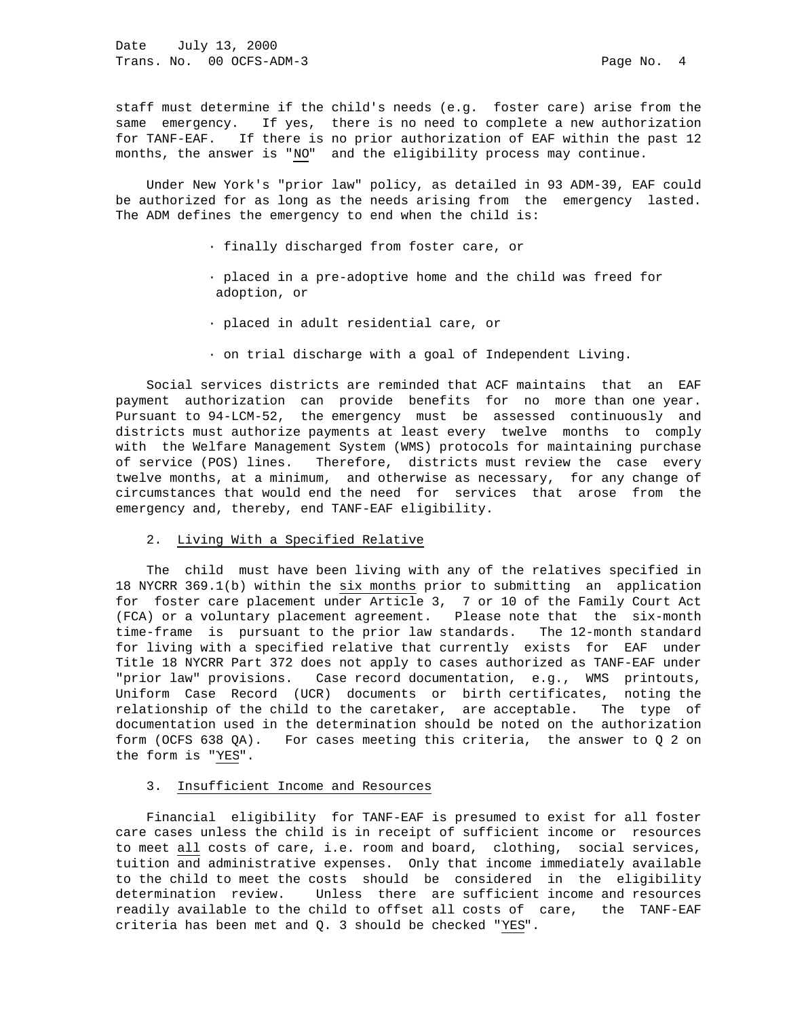staff must determine if the child's needs (e.g. foster care) arise from the same emergency. If yes, there is no need to complete a new authorization for TANF-EAF. If there is no prior authorization of EAF within the past 12 months, the answer is "NO" and the eligibility process may continue.

 Under New York's "prior law" policy, as detailed in 93 ADM-39, EAF could be authorized for as long as the needs arising from the emergency lasted. The ADM defines the emergency to end when the child is:

- · finally discharged from foster care, or
- · placed in a pre-adoptive home and the child was freed for adoption, or
- · placed in adult residential care, or
- · on trial discharge with a goal of Independent Living.

 Social services districts are reminded that ACF maintains that an EAF payment authorization can provide benefits for no more than one year. Pursuant to 94-LCM-52, the emergency must be assessed continuously and districts must authorize payments at least every twelve months to comply with the Welfare Management System (WMS) protocols for maintaining purchase of service (POS) lines. Therefore, districts must review the case every twelve months, at a minimum, and otherwise as necessary, for any change of circumstances that would end the need for services that arose from the emergency and, thereby, end TANF-EAF eligibility.

# 2. Living With a Specified Relative

 The child must have been living with any of the relatives specified in 18 NYCRR 369.1(b) within the six months prior to submitting an application for foster care placement under Article 3, 7 or 10 of the Family Court Act (FCA) or a voluntary placement agreement. Please note that the six-month time-frame is pursuant to the prior law standards. The 12-month standard for living with a specified relative that currently exists for EAF under Title 18 NYCRR Part 372 does not apply to cases authorized as TANF-EAF under "prior law" provisions. Case record documentation, e.g., WMS printouts, Uniform Case Record (UCR) documents or birth certificates, noting the relationship of the child to the caretaker, are acceptable. The type of documentation used in the determination should be noted on the authorization form (OCFS 638 QA). For cases meeting this criteria, the answer to Q 2 on the form is "YES".

## 3. Insufficient Income and Resources

 Financial eligibility for TANF-EAF is presumed to exist for all foster care cases unless the child is in receipt of sufficient income or resources to meet all costs of care, i.e. room and board, clothing, social services, tuition and administrative expenses. Only that income immediately available to the child to meet the costs should be considered in the eligibility determination review. Unless there are sufficient income and resources readily available to the child to offset all costs of care, the TANF-EAF criteria has been met and Q. 3 should be checked "YES".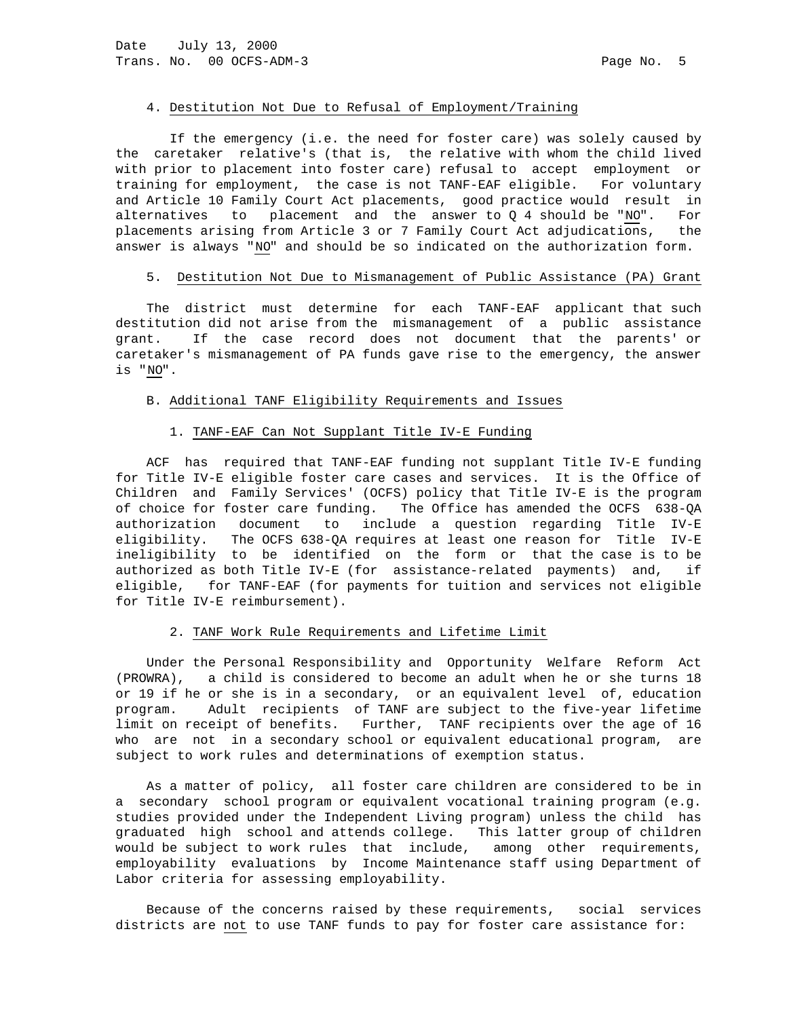#### 4. Destitution Not Due to Refusal of Employment/Training

 If the emergency (i.e. the need for foster care) was solely caused by the caretaker relative's (that is, the relative with whom the child lived with prior to placement into foster care) refusal to accept employment or training for employment, the case is not TANF-EAF eligible. For voluntary and Article 10 Family Court Act placements, good practice would result in alternatives to placement and the answer to  $Q$  4 should be "NO". For placements arising from Article 3 or 7 Family Court Act adjudications, the answer is always "NO" and should be so indicated on the authorization form.

#### 5. Destitution Not Due to Mismanagement of Public Assistance (PA) Grant

 The district must determine for each TANF-EAF applicant that such destitution did not arise from the mismanagement of a public assistance grant. If the case record does not document that the parents' or caretaker's mismanagement of PA funds gave rise to the emergency, the answer is "NO".

# B. Additional TANF Eligibility Requirements and Issues

# 1. TANF-EAF Can Not Supplant Title IV-E Funding

 ACF has required that TANF-EAF funding not supplant Title IV-E funding for Title IV-E eligible foster care cases and services. It is the Office of Children and Family Services' (OCFS) policy that Title IV-E is the program of choice for foster care funding. The Office has amended the OCFS 638-QA authorization document to include a question regarding Title IV-E eligibility. The OCFS 638-QA requires at least one reason for Title IV-E ineligibility to be identified on the form or that the case is to be authorized as both Title IV-E (for assistance-related payments) and, if eligible, for TANF-EAF (for payments for tuition and services not eligible for Title IV-E reimbursement).

# 2. TANF Work Rule Requirements and Lifetime Limit

 Under the Personal Responsibility and Opportunity Welfare Reform Act (PROWRA), a child is considered to become an adult when he or she turns 18 or 19 if he or she is in a secondary, or an equivalent level of, education program. Adult recipients of TANF are subject to the five-year lifetime limit on receipt of benefits. Further, TANF recipients over the age of 16 who are not in a secondary school or equivalent educational program, are subject to work rules and determinations of exemption status.

 As a matter of policy, all foster care children are considered to be in a secondary school program or equivalent vocational training program (e.g. studies provided under the Independent Living program) unless the child has graduated high school and attends college. This latter group of children would be subject to work rules that include, among other requirements, employability evaluations by Income Maintenance staff using Department of Labor criteria for assessing employability.

 Because of the concerns raised by these requirements, social services districts are not to use TANF funds to pay for foster care assistance for: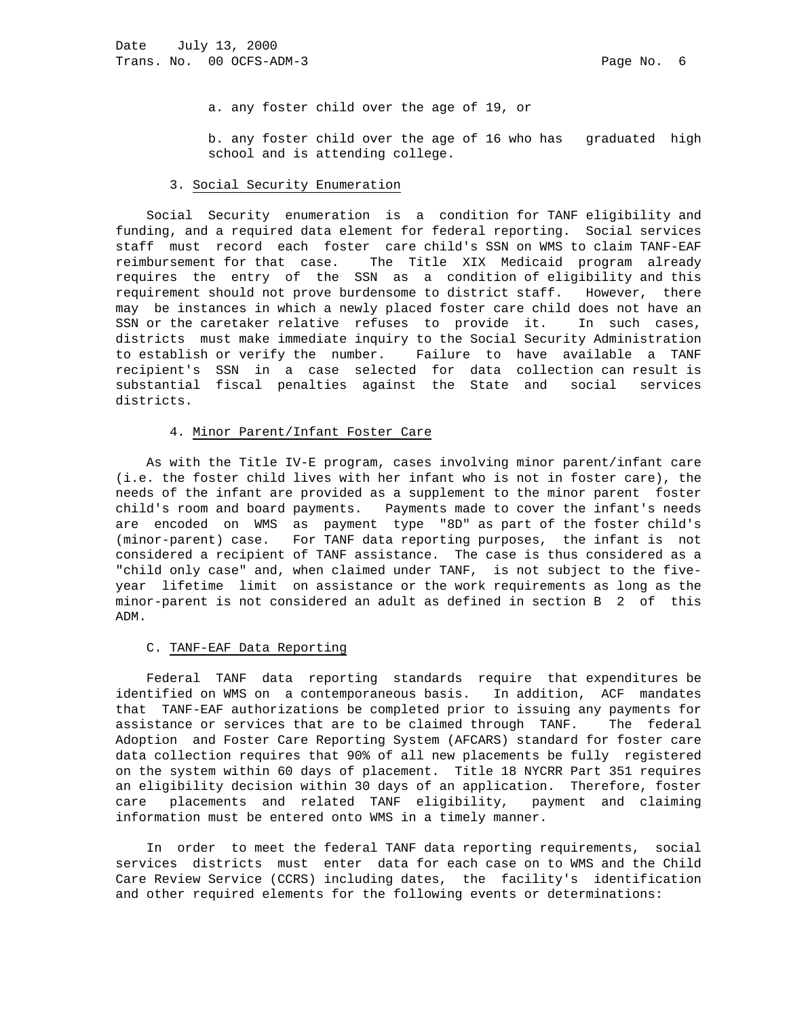a. any foster child over the age of 19, or

 b. any foster child over the age of 16 who has graduated high school and is attending college.

# 3. Social Security Enumeration

 Social Security enumeration is a condition for TANF eligibility and funding, and a required data element for federal reporting. Social services staff must record each foster care child's SSN on WMS to claim TANF-EAF reimbursement for that case. The Title XIX Medicaid program already requires the entry of the SSN as a condition of eligibility and this requirement should not prove burdensome to district staff. However, there may be instances in which a newly placed foster care child does not have an SSN or the caretaker relative refuses to provide it. In such cases, districts must make immediate inquiry to the Social Security Administration to establish or verify the number. Failure to have available a TANF recipient's SSN in a case selected for data collection can result is substantial fiscal penalties against the State and social services districts.

# 4. Minor Parent/Infant Foster Care

 As with the Title IV-E program, cases involving minor parent/infant care (i.e. the foster child lives with her infant who is not in foster care), the needs of the infant are provided as a supplement to the minor parent foster child's room and board payments. Payments made to cover the infant's needs are encoded on WMS as payment type "8D" as part of the foster child's (minor-parent) case. For TANF data reporting purposes, the infant is not considered a recipient of TANF assistance. The case is thus considered as a "child only case" and, when claimed under TANF, is not subject to the fiveyear lifetime limit on assistance or the work requirements as long as the minor-parent is not considered an adult as defined in section B 2 of this ADM.

#### C. TANF-EAF Data Reporting

 Federal TANF data reporting standards require that expenditures be identified on WMS on a contemporaneous basis. In addition, ACF mandates that TANF-EAF authorizations be completed prior to issuing any payments for assistance or services that are to be claimed through TANF. The federal Adoption and Foster Care Reporting System (AFCARS) standard for foster care data collection requires that 90% of all new placements be fully registered on the system within 60 days of placement. Title 18 NYCRR Part 351 requires an eligibility decision within 30 days of an application. Therefore, foster care placements and related TANF eligibility, payment and claiming information must be entered onto WMS in a timely manner.

 In order to meet the federal TANF data reporting requirements, social services districts must enter data for each case on to WMS and the Child Care Review Service (CCRS) including dates, the facility's identification and other required elements for the following events or determinations: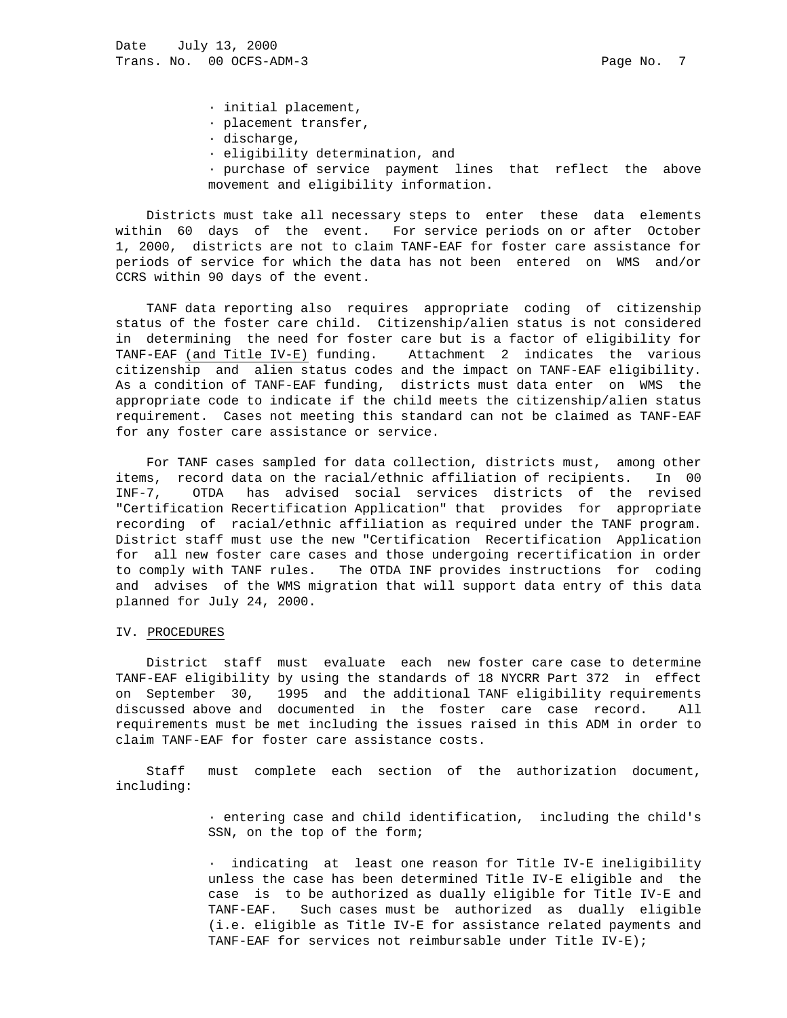· initial placement,

- · placement transfer,
- · discharge,
- · eligibility determination, and
- · purchase of service payment lines that reflect the above movement and eligibility information.

 Districts must take all necessary steps to enter these data elements within 60 days of the event. For service periods on or after October 1, 2000, districts are not to claim TANF-EAF for foster care assistance for periods of service for which the data has not been entered on WMS and/or CCRS within 90 days of the event.

 TANF data reporting also requires appropriate coding of citizenship status of the foster care child. Citizenship/alien status is not considered in determining the need for foster care but is a factor of eligibility for TANF-EAF (and Title IV-E) funding. Attachment 2 indicates the various citizenship and alien status codes and the impact on TANF-EAF eligibility. As a condition of TANF-EAF funding, districts must data enter on WMS the appropriate code to indicate if the child meets the citizenship/alien status requirement. Cases not meeting this standard can not be claimed as TANF-EAF for any foster care assistance or service.

 For TANF cases sampled for data collection, districts must, among other items, record data on the racial/ethnic affiliation of recipients. In 00 INF-7, OTDA has advised social services districts of the revised "Certification Recertification Application" that provides for appropriate recording of racial/ethnic affiliation as required under the TANF program. District staff must use the new "Certification Recertification Application for all new foster care cases and those undergoing recertification in order to comply with TANF rules. The OTDA INF provides instructions for coding and advises of the WMS migration that will support data entry of this data planned for July 24, 2000.

### IV. PROCEDURES

 District staff must evaluate each new foster care case to determine TANF-EAF eligibility by using the standards of 18 NYCRR Part 372 in effect on September 30, 1995 and the additional TANF eligibility requirements discussed above and documented in the foster care case record. All requirements must be met including the issues raised in this ADM in order to claim TANF-EAF for foster care assistance costs.

 Staff must complete each section of the authorization document, including:

> · entering case and child identification, including the child's SSN, on the top of the form;

> · indicating at least one reason for Title IV-E ineligibility unless the case has been determined Title IV-E eligible and the case is to be authorized as dually eligible for Title IV-E and TANF-EAF. Such cases must be authorized as dually eligible (i.e. eligible as Title IV-E for assistance related payments and TANF-EAF for services not reimbursable under Title IV-E);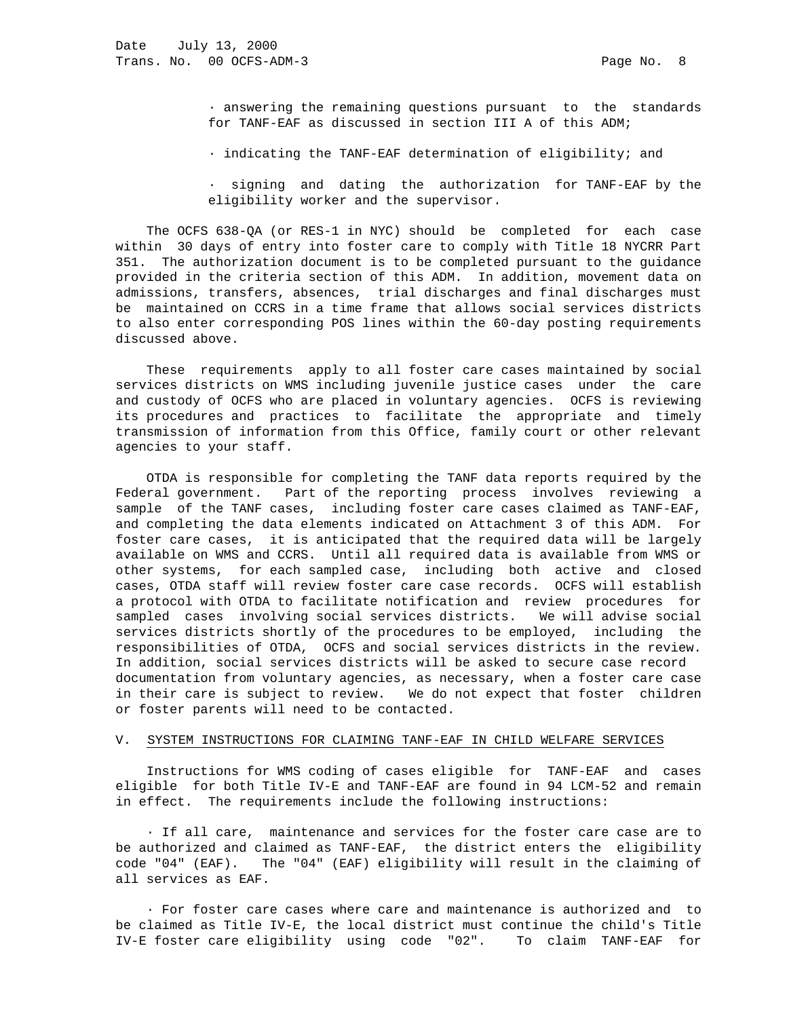· answering the remaining questions pursuant to the standards for TANF-EAF as discussed in section III A of this ADM;

· indicating the TANF-EAF determination of eligibility; and

signing and dating the authorization for TANF-EAF by the eligibility worker and the supervisor.

 The OCFS 638-QA (or RES-1 in NYC) should be completed for each case within 30 days of entry into foster care to comply with Title 18 NYCRR Part 351. The authorization document is to be completed pursuant to the guidance provided in the criteria section of this ADM. In addition, movement data on admissions, transfers, absences, trial discharges and final discharges must be maintained on CCRS in a time frame that allows social services districts to also enter corresponding POS lines within the 60-day posting requirements discussed above.

 These requirements apply to all foster care cases maintained by social services districts on WMS including juvenile justice cases under the care and custody of OCFS who are placed in voluntary agencies. OCFS is reviewing its procedures and practices to facilitate the appropriate and timely transmission of information from this Office, family court or other relevant agencies to your staff.

 OTDA is responsible for completing the TANF data reports required by the Federal government. Part of the reporting process involves reviewing a sample of the TANF cases, including foster care cases claimed as TANF-EAF, and completing the data elements indicated on Attachment 3 of this ADM. For foster care cases, it is anticipated that the required data will be largely available on WMS and CCRS. Until all required data is available from WMS or other systems, for each sampled case, including both active and closed cases, OTDA staff will review foster care case records. OCFS will establish a protocol with OTDA to facilitate notification and review procedures for sampled cases involving social services districts. We will advise social services districts shortly of the procedures to be employed, including the responsibilities of OTDA, OCFS and social services districts in the review. In addition, social services districts will be asked to secure case record documentation from voluntary agencies, as necessary, when a foster care case in their care is subject to review. We do not expect that foster children or foster parents will need to be contacted.

# V. SYSTEM INSTRUCTIONS FOR CLAIMING TANF-EAF IN CHILD WELFARE SERVICES

 Instructions for WMS coding of cases eligible for TANF-EAF and cases eligible for both Title IV-E and TANF-EAF are found in 94 LCM-52 and remain in effect. The requirements include the following instructions:

 · If all care, maintenance and services for the foster care case are to be authorized and claimed as TANF-EAF, the district enters the eligibility code "04" (EAF). The "04" (EAF) eligibility will result in the claiming of all services as EAF.

 · For foster care cases where care and maintenance is authorized and to be claimed as Title IV-E, the local district must continue the child's Title IV-E foster care eligibility using code "02". To claim TANF-EAF for